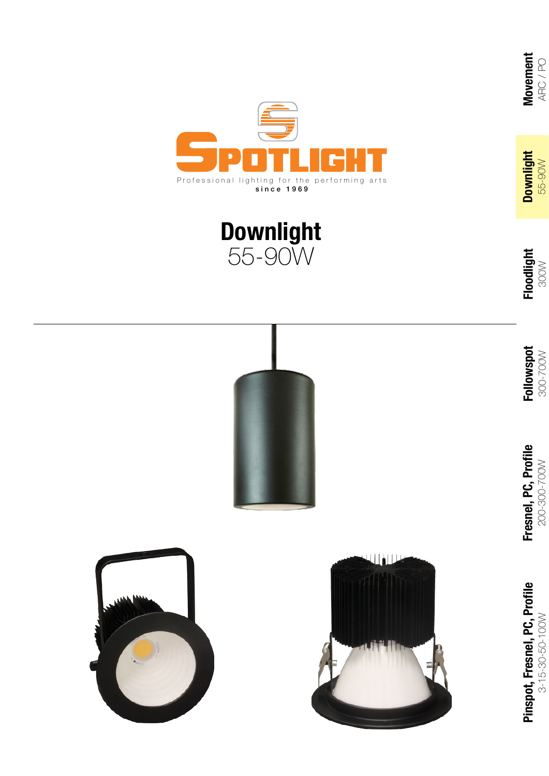



300W

**Movement** ARC / PO

Movement<br>ARC/PO

**Downlight** 55-90W

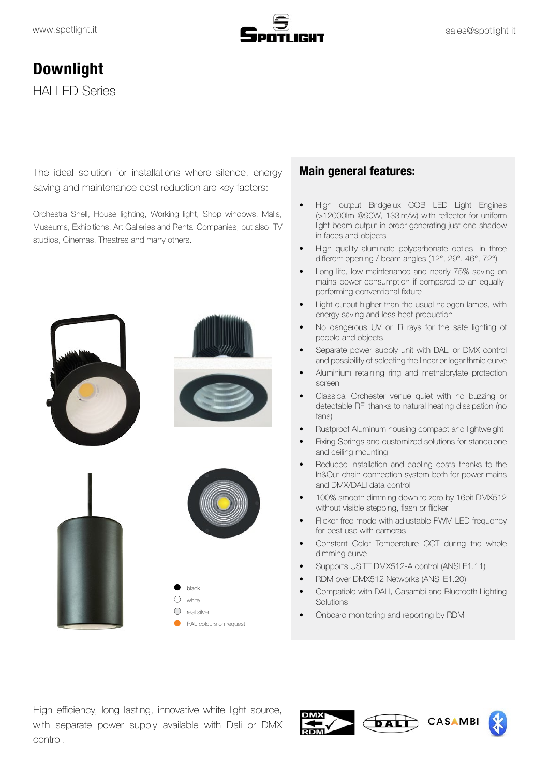

# **Downlight** HALLED Series

The ideal solution for installations where silence, energy saving and maintenance cost reduction are key factors:

Orchestra Shell, House lighting, Working light, Shop windows, Malls, Museums, Exhibitions, Art Galleries and Rental Companies, but also: TV studios, Cinemas, Theatres and many others.



#### **Main general features:**

- High output Bridgelux COB LED Light Engines (>12000lm @90W, 133lm/w) with refector for uniform light beam output in order generating just one shadow in faces and objects
- High quality aluminate polycarbonate optics, in three diferent opening / beam angles (12°, 29°, 46°, 72°)
- Long life, low maintenance and nearly 75% saving on mains power consumption if compared to an equallyperforming conventional fixture
- Light output higher than the usual halogen lamps, with energy saving and less heat production
- No dangerous UV or IR rays for the safe lighting of people and objects
- Separate power supply unit with DALI or DMX control and possibility of selecting the linear or logarithmic curve
- Aluminium retaining ring and methalcrylate protection screen
- Classical Orchester venue quiet with no buzzing or detectable RFI thanks to natural heating dissipation (no fans)
- Rustproof Aluminum housing compact and lightweight
- Fixing Springs and customized solutions for standalone and ceiling mounting
- Reduced installation and cabling costs thanks to the In&Out chain connection system both for power mains and DMX/DALI data control
- 100% smooth dimming down to zero by 16bit DMX512 without visible stepping, fash or ficker
- Flicker-free mode with adjustable PWM LED frequency for best use with cameras
- Constant Color Temperature CCT during the whole dimming curve
- Supports USITT DMX512-A control (ANSI E1.11)
- RDM over DMX512 Networks (ANSI E1.20)
- Compatible with DALI, Casambi and Bluetooth Lighting **Solutions**
- Onboard monitoring and reporting by RDM

High efficiency, long lasting, innovative white light source, with separate power supply available with Dali or DMX control.



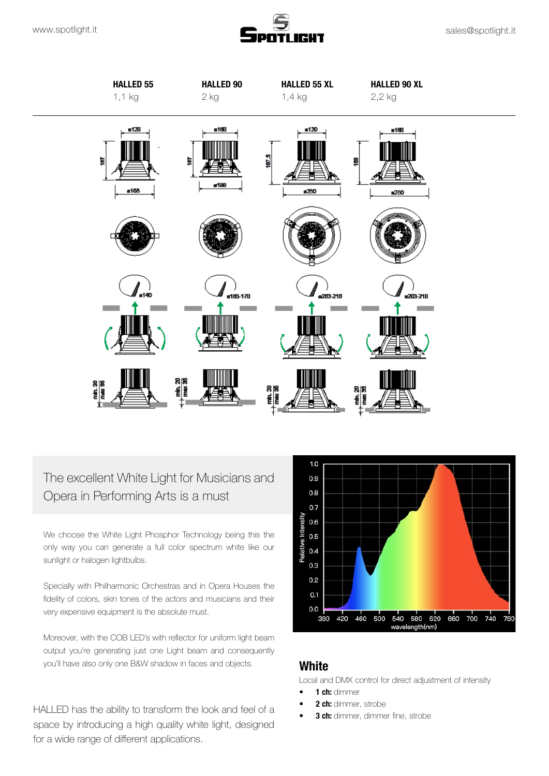



## The excellent White Light for Musicians and Opera in Performing Arts is a must

We choose the White Light Phosphor Technology being this the only way you can generate a full color spectrum white like our sunlight or halogen lightbulbs.

Specially with Philharmonic Orchestras and in Opera Houses the fdelity of colors, skin tones of the actors and musicians and their very expensive equipment is the absolute must.

Moreover, with the COB LED's with refector for uniform light beam output you're generating just one Light beam and consequently you'll have also only one B&W shadow in faces and objects.

HALLED has the ability to transform the look and feel of a space by introducing a high quality white light, designed for a wide range of diferent applications.



#### **White**

Local and DMX control for direct adjustment of intensity

- **1 ch:** dimmer
- **2 ch:** dimmer, strobe
- **3 ch:** dimmer, dimmer fine, strobe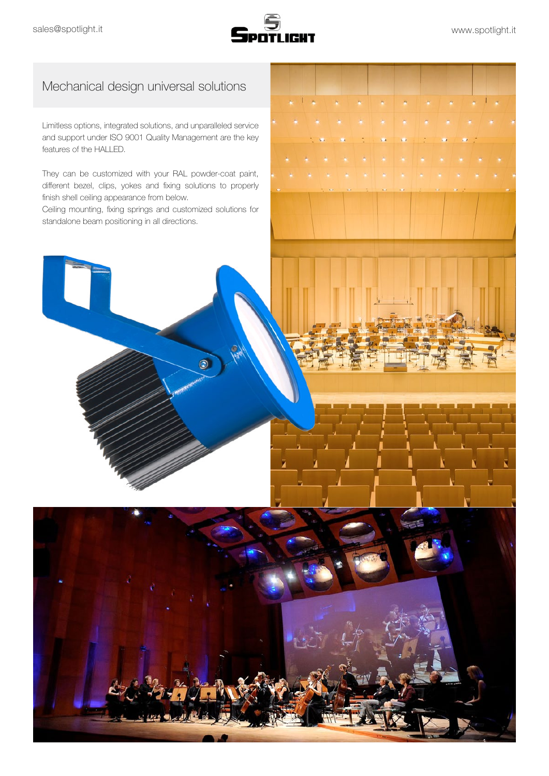

### Mechanical design universal solutions

Limitless options, integrated solutions, and unparalleled service and support under ISO 9001 Quality Management are the key features of the HALLED.

They can be customized with your RAL powder-coat paint, diferent bezel, clips, yokes and fxing solutions to properly finish shell ceiling appearance from below.

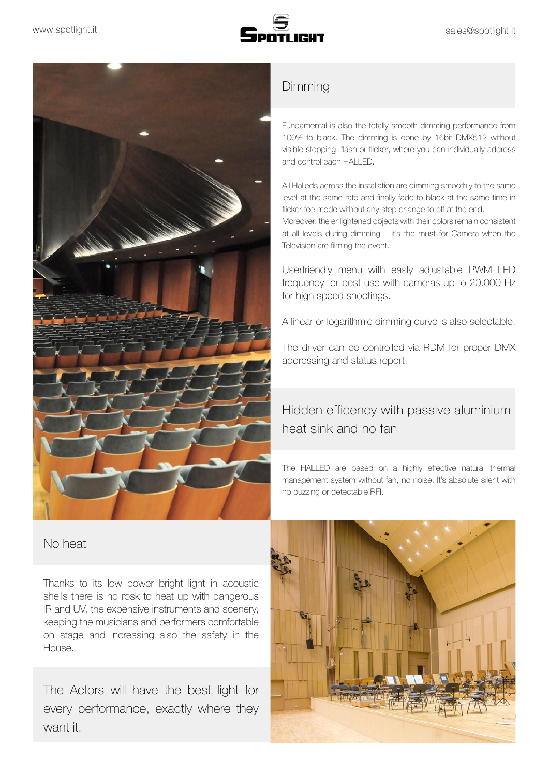



No heat

Thanks to its low power bright light in acoustic shells there is no rosk to heat up with dangerous IR and UV, the expensive instruments and scenery, keeping the musicians and performers comfortable on stage and increasing also the safety in the House.

The Actors will have the best light for every performance, exactly where they want it.

### Dimming

Fundamental is also the totally smooth dimming performance from 100% to black. The dimming is done by 16bit DMX512 without visible stepping, fash or ficker, where you can individually address and control each HALLED.

All Halleds across the installation are dimming smoothly to the same level at the same rate and finally fade to black at the same time in flicker fee mode without any step change to off at the end.

Moreover, the enlightened objects with their colors remain consistent at all levels during dimming – it's the must for Camera when the Television are flming the event.

Userfriendly menu with easly adjustable PWM LED frequency for best use with cameras up to 20.000 Hz for high speed shootings.

A linear or logarithmic dimming curve is also selectable.

The driver can be controlled via RDM for proper DMX addressing and status report.

# Hidden efficency with passive aluminium heat sink and no fan

The HALLED are based on a highly efective natural thermal management system without fan, no noise. It's absolute silent with no buzzing or detectable RFI.

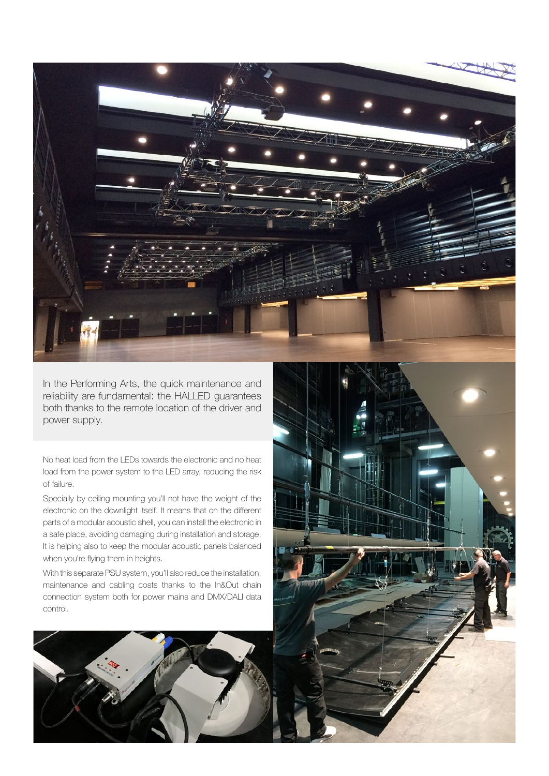

In the Performing Arts, the quick maintenance and reliability are fundamental: the HALLED guarantees both thanks to the remote location of the driver and power supply.

No heat load from the LEDs towards the electronic and no heat load from the power system to the LED array, reducing the risk of failure.

Specially by ceiling mounting you'll not have the weight of the electronic on the downlight itself. It means that on the diferent parts of a modular acoustic shell, you can install the electronic in a safe place, avoiding damaging during installation and storage. It is helping also to keep the modular acoustic panels balanced when you're flying them in heights.

With this separate PSU system, you'll also reduce the installation, maintenance and cabling costs thanks to the In&Out chain connection system both for power mains and DMX/DALI data control.